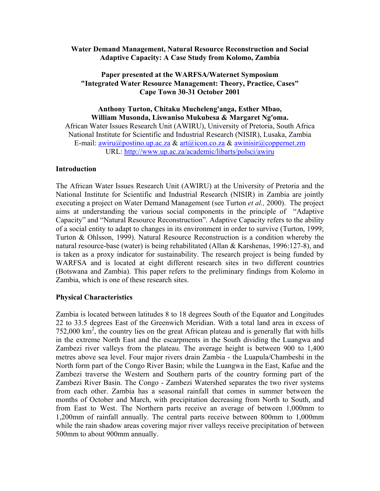### **Water Demand Management, Natural Resource Reconstruction and Social Adaptive Capacity: A Case Study from Kolomo, Zambia**

# **Paper presented at the WARFSA/Waternet Symposium "Integrated Water Resource Management: Theory, Practice, Cases" Cape Town 30-31 October 2001**

**Anthony Turton, Chitaku Mucheleng'anga, Esther Mbao, William Musonda, Liswaniso Mukubesa & Margaret Ng'oma.** African Water Issues Research Unit (AWIRU), University of Pretoria, South Africa National Institute for Scientific and Industrial Research (NISIR), Lusaka, Zambia E-mail: [awiru@postino.up.ac.za](mailto:awiru@postino.up.ac.za) & [art@icon.co.za](mailto:art@icon.co.za) & [awinisir@coppernet.zm](mailto:awinisir@coppernet.zm) URL:<http://www.up.ac.za/academic/libarts/polsci/awiru>

## **Introduction**

The African Water Issues Research Unit (AWIRU) at the University of Pretoria and the National Institute for Scientific and Industrial Research (NISIR) in Zambia are jointly executing a project on Water Demand Management (see Turton *et al.,* 2000). The project aims at understanding the various social components in the principle of "Adaptive Capacity" and "Natural Resource Reconstruction". Adaptive Capacity refers to the ability of a social entity to adapt to changes in its environment in order to survive (Turton, 1999; Turton & Ohlsson, 1999). Natural Resource Reconstruction is a condition whereby the natural resource-base (water) is being rehabilitated (Allan & Karshenas, 1996:127-8), and is taken as a proxy indicator for sustainability. The research project is being funded by WARFSA and is located at eight different research sites in two different countries (Botswana and Zambia). This paper refers to the preliminary findings from Kolomo in Zambia, which is one of these research sites.

# **Physical Characteristics**

Zambia is located between latitudes 8 to 18 degrees South of the Equator and Longitudes 22 to 33.5 degrees East of the Greenwich Meridian. With a total land area in excess of 752,000  $\text{km}^2$ , the country lies on the great African plateau and is generally flat with hills in the extreme North East and the escarpments in the South dividing the Luangwa and Zambezi river valleys from the plateau. The average height is between 900 to 1,400 metres above sea level. Four major rivers drain Zambia - the Luapula/Chambeshi in the North form part of the Congo River Basin; while the Luangwa in the East, Kafue and the Zambezi traverse the Western and Southern parts of the country forming part of the Zambezi River Basin. The Congo - Zambezi Watershed separates the two river systems from each other. Zambia has a seasonal rainfall that comes in summer between the months of October and March, with precipitation decreasing from North to South, and from East to West. The Northern parts receive an average of between 1,000mm to 1,200mm of rainfall annually. The central parts receive between 800mm to 1,000mm while the rain shadow areas covering major river valleys receive precipitation of between 500mm to about 900mm annually.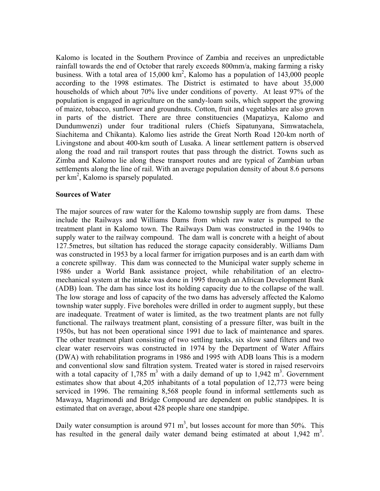Kalomo is located in the Southern Province of Zambia and receives an unpredictable rainfall towards the end of October that rarely exceeds 800mm/a, making farming a risky business. With a total area of 15,000  $km^2$ , Kalomo has a population of 143,000 people according to the 1998 estimates. The District is estimated to have about 35,000 households of which about 70% live under conditions of poverty. At least 97% of the population is engaged in agriculture on the sandy-loam soils, which support the growing of maize, tobacco, sunflower and groundnuts. Cotton, fruit and vegetables are also grown in parts of the district. There are three constituencies (Mapatizya, Kalomo and Dundumwenzi) under four traditional rulers (Chiefs Sipatunyana, Simwatachela, Siachitema and Chikanta). Kalomo lies astride the Great North Road 120-km north of Livingstone and about 400-km south of Lusaka. A linear settlement pattern is observed along the road and rail transport routes that pass through the district. Towns such as Zimba and Kalomo lie along these transport routes and are typical of Zambian urban settlements along the line of rail. With an average population density of about 8.6 persons per km<sup>2</sup>, Kalomo is sparsely populated.

#### **Sources of Water**

The major sources of raw water for the Kalomo township supply are from dams. These include the Railways and Williams Dams from which raw water is pumped to the treatment plant in Kalomo town. The Railways Dam was constructed in the 1940s to supply water to the railway compound. The dam wall is concrete with a height of about 127.5metres, but siltation has reduced the storage capacity considerably. Williams Dam was constructed in 1953 by a local farmer for irrigation purposes and is an earth dam with a concrete spillway. This dam was connected to the Municipal water supply scheme in 1986 under a World Bank assistance project, while rehabilitation of an electromechanical system at the intake was done in 1995 through an African Development Bank (ADB) loan. The dam has since lost its holding capacity due to the collapse of the wall. The low storage and loss of capacity of the two dams has adversely affected the Kalomo township water supply. Five boreholes were drilled in order to augment supply, but these are inadequate. Treatment of water is limited, as the two treatment plants are not fully functional. The railways treatment plant, consisting of a pressure filter, was built in the 1950s, but has not been operational since 1991 due to lack of maintenance and spares. The other treatment plant consisting of two settling tanks, six slow sand filters and two clear water reservoirs was constructed in 1974 by the Department of Water Affairs (DWA) with rehabilitation programs in 1986 and 1995 with ADB loans This is a modern and conventional slow sand filtration system. Treated water is stored in raised reservoirs with a total capacity of 1,785 m<sup>3</sup> with a daily demand of up to 1,942 m<sup>3</sup>. Government estimates show that about 4,205 inhabitants of a total population of 12,773 were being serviced in 1996. The remaining 8,568 people found in informal settlements such as Mawaya, Magrimondi and Bridge Compound are dependent on public standpipes. It is estimated that on average, about 428 people share one standpipe.

Daily water consumption is around 971  $m<sup>3</sup>$ , but losses account for more than 50%. This has resulted in the general daily water demand being estimated at about  $1,942 \text{ m}^3$ .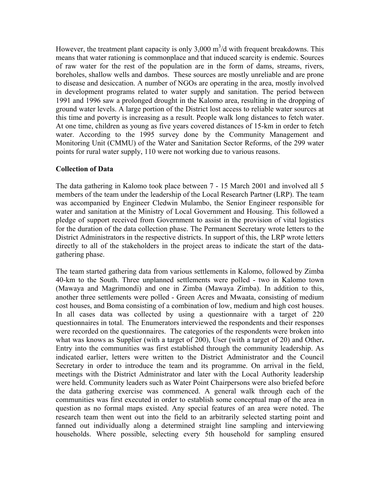However, the treatment plant capacity is only  $3,000 \text{ m}^3/\text{d}$  with frequent breakdowns. This means that water rationing is commonplace and that induced scarcity is endemic. Sources of raw water for the rest of the population are in the form of dams, streams, rivers, boreholes, shallow wells and dambos. These sources are mostly unreliable and are prone to disease and desiccation. A number of NGOs are operating in the area, mostly involved in development programs related to water supply and sanitation. The period between 1991 and 1996 saw a prolonged drought in the Kalomo area, resulting in the dropping of ground water levels. A large portion of the District lost access to reliable water sources at this time and poverty is increasing as a result. People walk long distances to fetch water. At one time, children as young as five years covered distances of 15-km in order to fetch water. According to the 1995 survey done by the Community Management and Monitoring Unit (CMMU) of the Water and Sanitation Sector Reforms, of the 299 water points for rural water supply, 110 were not working due to various reasons.

## **Collection of Data**

The data gathering in Kalomo took place between 7 - 15 March 2001 and involved all 5 members of the team under the leadership of the Local Research Partner (LRP). The team was accompanied by Engineer Cledwin Mulambo, the Senior Engineer responsible for water and sanitation at the Ministry of Local Government and Housing. This followed a pledge of support received from Government to assist in the provision of vital logistics for the duration of the data collection phase. The Permanent Secretary wrote letters to the District Administrators in the respective districts. In support of this, the LRP wrote letters directly to all of the stakeholders in the project areas to indicate the start of the datagathering phase.

The team started gathering data from various settlements in Kalomo, followed by Zimba 40-km to the South. Three unplanned settlements were polled - two in Kalomo town (Mawaya and Magrimondi) and one in Zimba (Mawaya Zimba). In addition to this, another three settlements were polled - Green Acres and Mwaata, consisting of medium cost houses, and Boma consisting of a combination of low, medium and high cost houses. In all cases data was collected by using a questionnaire with a target of 220 questionnaires in total. The Enumerators interviewed the respondents and their responses were recorded on the questionnaires. The categories of the respondents were broken into what was knows as Supplier (with a target of 200), User (with a target of 20) and Other**.**  Entry into the communities was first established through the community leadership. As indicated earlier, letters were written to the District Administrator and the Council Secretary in order to introduce the team and its programme. On arrival in the field, meetings with the District Administrator and later with the Local Authority leadership were held. Community leaders such as Water Point Chairpersons were also briefed before the data gathering exercise was commenced. A general walk through each of the communities was first executed in order to establish some conceptual map of the area in question as no formal maps existed. Any special features of an area were noted. The research team then went out into the field to an arbitrarily selected starting point and fanned out individually along a determined straight line sampling and interviewing households. Where possible, selecting every 5th household for sampling ensured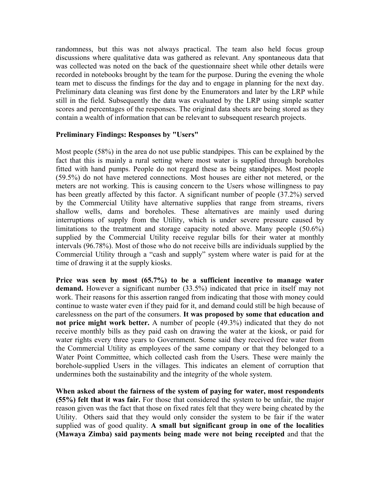randomness, but this was not always practical. The team also held focus group discussions where qualitative data was gathered as relevant. Any spontaneous data that was collected was noted on the back of the questionnaire sheet while other details were recorded in notebooks brought by the team for the purpose. During the evening the whole team met to discuss the findings for the day and to engage in planning for the next day. Preliminary data cleaning was first done by the Enumerators and later by the LRP while still in the field. Subsequently the data was evaluated by the LRP using simple scatter scores and percentages of the responses. The original data sheets are being stored as they contain a wealth of information that can be relevant to subsequent research projects.

#### **Preliminary Findings: Responses by "Users"**

Most people (58%) in the area do not use public standpipes. This can be explained by the fact that this is mainly a rural setting where most water is supplied through boreholes fitted with hand pumps. People do not regard these as being standpipes. Most people (59.5%) do not have metered connections. Most houses are either not metered, or the meters are not working. This is causing concern to the Users whose willingness to pay has been greatly affected by this factor. A significant number of people (37.2%) served by the Commercial Utility have alternative supplies that range from streams, rivers shallow wells, dams and boreholes. These alternatives are mainly used during interruptions of supply from the Utility, which is under severe pressure caused by limitations to the treatment and storage capacity noted above. Many people (50.6%) supplied by the Commercial Utility receive regular bills for their water at monthly intervals (96.78%). Most of those who do not receive bills are individuals supplied by the Commercial Utility through a "cash and supply" system where water is paid for at the time of drawing it at the supply kiosks.

**Price was seen by most (65.7%) to be a sufficient incentive to manage water demand.** However a significant number (33.5%) indicated that price in itself may not work. Their reasons for this assertion ranged from indicating that those with money could continue to waste water even if they paid for it, and demand could still be high because of carelessness on the part of the consumers. **It was proposed by some that education and not price might work better.** A number of people (49.3%) indicated that they do not receive monthly bills as they paid cash on drawing the water at the kiosk, or paid for water rights every three years to Government. Some said they received free water from the Commercial Utility as employees of the same company or that they belonged to a Water Point Committee, which collected cash from the Users. These were mainly the borehole-supplied Users in the villages. This indicates an element of corruption that undermines both the sustainability and the integrity of the whole system.

**When asked about the fairness of the system of paying for water, most respondents (55%) felt that it was fair.** For those that considered the system to be unfair, the major reason given was the fact that those on fixed rates felt that they were being cheated by the Utility. Others said that they would only consider the system to be fair if the water supplied was of good quality. **A small but significant group in one of the localities (Mawaya Zimba) said payments being made were not being receipted** and that the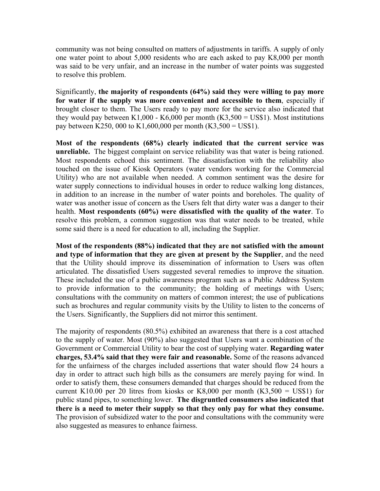community was not being consulted on matters of adjustments in tariffs. A supply of only one water point to about 5,000 residents who are each asked to pay K8,000 per month was said to be very unfair, and an increase in the number of water points was suggested to resolve this problem.

Significantly, **the majority of respondents (64%) said they were willing to pay more for water if the supply was more convenient and accessible to them**, especially if brought closer to them. The Users ready to pay more for the service also indicated that they would pay between K1,000 - K6,000 per month  $(K3,500 = US$1)$ . Most institutions pay between K250, 000 to K1,600,000 per month  $(K3,500 = US$1)$ .

**Most of the respondents (68%) clearly indicated that the current service was unreliable.** The biggest complaint on service reliability was that water is being rationed. Most respondents echoed this sentiment. The dissatisfaction with the reliability also touched on the issue of Kiosk Operators (water vendors working for the Commercial Utility) who are not available when needed. A common sentiment was the desire for water supply connections to individual houses in order to reduce walking long distances, in addition to an increase in the number of water points and boreholes. The quality of water was another issue of concern as the Users felt that dirty water was a danger to their health. **Most respondents (60%) were dissatisfied with the quality of the water**. To resolve this problem, a common suggestion was that water needs to be treated, while some said there is a need for education to all, including the Supplier.

**Most of the respondents (88%) indicated that they are not satisfied with the amount and type of information that they are given at present by the Supplier**, and the need that the Utility should improve its dissemination of information to Users was often articulated. The dissatisfied Users suggested several remedies to improve the situation. These included the use of a public awareness program such as a Public Address System to provide information to the community; the holding of meetings with Users; consultations with the community on matters of common interest; the use of publications such as brochures and regular community visits by the Utility to listen to the concerns of the Users. Significantly, the Suppliers did not mirror this sentiment.

The majority of respondents (80.5%) exhibited an awareness that there is a cost attached to the supply of water. Most (90%) also suggested that Users want a combination of the Government or Commercial Utility to bear the cost of supplying water. **Regarding water charges, 53.4% said that they were fair and reasonable.** Some of the reasons advanced for the unfairness of the charges included assertions that water should flow 24 hours a day in order to attract such high bills as the consumers are merely paying for wind. In order to satisfy them, these consumers demanded that charges should be reduced from the current K10.00 per 20 litres from kiosks or K8,000 per month  $(K3,500 = US$1)$  for public stand pipes, to something lower. **The disgruntled consumers also indicated that there is a need to meter their supply so that they only pay for what they consume.** The provision of subsidized water to the poor and consultations with the community were also suggested as measures to enhance fairness.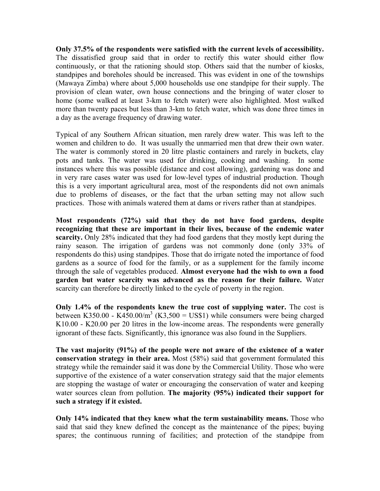**Only 37.5% of the respondents were satisfied with the current levels of accessibility.** The dissatisfied group said that in order to rectify this water should either flow continuously, or that the rationing should stop. Others said that the number of kiosks, standpipes and boreholes should be increased. This was evident in one of the townships (Mawaya Zimba) where about 5,000 households use one standpipe for their supply. The provision of clean water, own house connections and the bringing of water closer to home (some walked at least 3-km to fetch water) were also highlighted. Most walked more than twenty paces but less than 3-km to fetch water, which was done three times in a day as the average frequency of drawing water.

Typical of any Southern African situation, men rarely drew water. This was left to the women and children to do. It was usually the unmarried men that drew their own water. The water is commonly stored in 20 litre plastic containers and rarely in buckets, clay pots and tanks. The water was used for drinking, cooking and washing. In some instances where this was possible (distance and cost allowing), gardening was done and in very rare cases water was used for low-level types of industrial production. Though this is a very important agricultural area, most of the respondents did not own animals due to problems of diseases, or the fact that the urban setting may not allow such practices. Those with animals watered them at dams or rivers rather than at standpipes.

**Most respondents (72%) said that they do not have food gardens, despite recognizing that these are important in their lives, because of the endemic water scarcity.** Only 28% indicated that they had food gardens that they mostly kept during the rainy season. The irrigation of gardens was not commonly done (only 33% of respondents do this) using standpipes. Those that do irrigate noted the importance of food gardens as a source of food for the family, or as a supplement for the family income through the sale of vegetables produced. **Almost everyone had the wish to own a food garden but water scarcity was advanced as the reason for their failure.** Water scarcity can therefore be directly linked to the cycle of poverty in the region.

**Only 1.4% of the respondents knew the true cost of supplying water.** The cost is between K350.00 - K450.00/m<sup>3</sup> (K3,500 = US\$1) while consumers were being charged K10.00 - K20.00 per 20 litres in the low-income areas. The respondents were generally ignorant of these facts. Significantly, this ignorance was also found in the Suppliers.

**The vast majority (91%) of the people were not aware of the existence of a water conservation strategy in their area.** Most (58%) said that government formulated this strategy while the remainder said it was done by the Commercial Utility. Those who were supportive of the existence of a water conservation strategy said that the major elements are stopping the wastage of water or encouraging the conservation of water and keeping water sources clean from pollution. **The majority (95%) indicated their support for such a strategy if it existed.** 

**Only 14% indicated that they knew what the term sustainability means.** Those who said that said they knew defined the concept as the maintenance of the pipes; buying spares; the continuous running of facilities; and protection of the standpipe from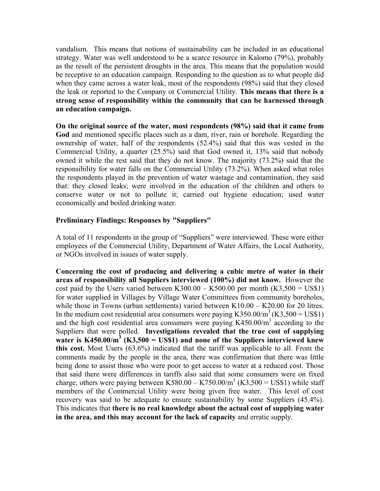vandalism. This means that notions of sustainability can be included in an educational strategy. Water was well understood to be a scarce resource in Kalomo (79%), probably as the result of the persistent droughts in the area. This means that the population would be receptive to an education campaign. Responding to the question as to what people did when they came across a water leak, most of the respondents (98%) said that they closed the leak or reported to the Company or Commercial Utility. **This means that there is a strong sense of responsibility within the community that can be harnessed through an education campaign.** 

**On the original source of the water, most respondents (98%) said that it came from God** and mentioned specific places such as a dam, river, rain or borehole. Regarding the ownership of water, half of the respondents (52.4%) said that this was vested in the Commercial Utility, a quarter (25.5%) said that God owned it, 13% said that nobody owned it while the rest said that they do not know. The majority (73.2%) said that the responsibility for water falls on the Commercial Utility (73.2%). When asked what roles the respondents played in the prevention of water wastage and contamination, they said that: they closed leaks; were involved in the education of the children and others to conserve water or not to pollute it; carried out hygiene education; used water economically and boiled drinking water.

## **Preliminary Findings: Responses by "Suppliers"**

A total of 11 respondents in the group of "Suppliers" were interviewed. These were either employees of the Commercial Utility, Department of Water Affairs, the Local Authority, or NGOs involved in issues of water supply.

**Concerning the cost of producing and delivering a cubic metre of water in their areas of responsibility all Suppliers interviewed (100%) did not know.** However the cost paid by the Users varied between K300.00 – K500.00 per month  $(K3,500 = US$1)$ for water supplied in Villages by Village Water Committees from community boreholes, while those in Towns (urban settlements) varied between K10.00 – K20.00 for 20 litres. In the medium cost residential area consumers were paying  $K350.00/m<sup>3</sup> (K3.500 = US$1)$ and the high cost residential area consumers were paying  $K450.00/m<sup>3</sup>$  according to the Suppliers that were polled. **Investigations revealed that the true cost of supplying**  water is  $K450.00/m^3$  ( $K3,500 = USS1$ ) and none of the Suppliers interviewed knew **this cost.** Most Users (63.6%) indicated that the tariff was applicable to all. From the comments made by the people in the area, there was confirmation that there was little being done to assist those who were poor to get access to water at a reduced cost. Those that said there were differences in tariffs also said that some consumers were on fixed charge, others were paying between K580.00 – K750.00/m<sup>3</sup> (K3,500 = US\$1) while staff members of the Commercial Utility were being given free water. This level of cost recovery was said to be adequate to ensure sustainability by some Suppliers (45.4%). This indicates that **there is no real knowledge about the actual cost of supplying water in the area, and this may account for the lack of capacity** and erratic supply.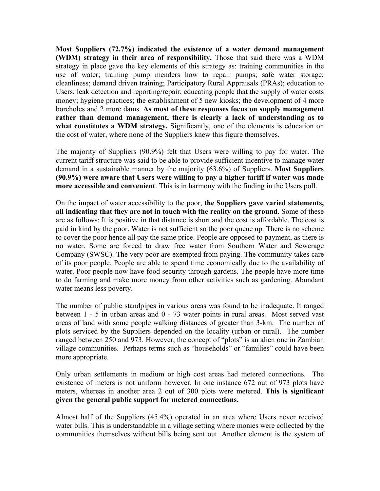**Most Suppliers (72.7%) indicated the existence of a water demand management (WDM) strategy in their area of responsibility.** Those that said there was a WDM strategy in place gave the key elements of this strategy as: training communities in the use of water; training pump menders how to repair pumps; safe water storage; cleanliness; demand driven training; Participatory Rural Appraisals (PRAs); education to Users; leak detection and reporting/repair; educating people that the supply of water costs money; hygiene practices; the establishment of 5 new kiosks; the development of 4 more boreholes and 2 more dams. **As most of these responses focus on supply management rather than demand management, there is clearly a lack of understanding as to**  what constitutes a WDM strategy. Significantly, one of the elements is education on the cost of water, where none of the Suppliers knew this figure themselves.

The majority of Suppliers (90.9%) felt that Users were willing to pay for water. The current tariff structure was said to be able to provide sufficient incentive to manage water demand in a sustainable manner by the majority (63.6%) of Suppliers. **Most Suppliers (90.9%) were aware that Users were willing to pay a higher tariff if water was made more accessible and convenient**. This is in harmony with the finding in the Users poll.

On the impact of water accessibility to the poor, **the Suppliers gave varied statements, all indicating that they are not in touch with the reality on the ground**. Some of these are as follows: It is positive in that distance is short and the cost is affordable. The cost is paid in kind by the poor. Water is not sufficient so the poor queue up. There is no scheme to cover the poor hence all pay the same price. People are opposed to payment, as there is no water. Some are forced to draw free water from Southern Water and Sewerage Company (SWSC). The very poor are exempted from paying. The community takes care of its poor people. People are able to spend time economically due to the availability of water. Poor people now have food security through gardens. The people have more time to do farming and make more money from other activities such as gardening. Abundant water means less poverty.

The number of public standpipes in various areas was found to be inadequate. It ranged between 1 - 5 in urban areas and 0 - 73 water points in rural areas. Most served vast areas of land with some people walking distances of greater than 3-km. The number of plots serviced by the Suppliers depended on the locality (urban or rural). The number ranged between 250 and 973. However, the concept of "plots" is an alien one in Zambian village communities. Perhaps terms such as "households" or "families" could have been more appropriate.

Only urban settlements in medium or high cost areas had metered connections. The existence of meters is not uniform however. In one instance 672 out of 973 plots have meters, whereas in another area 2 out of 300 plots were metered. **This is significant given the general public support for metered connections.** 

Almost half of the Suppliers (45.4%) operated in an area where Users never received water bills. This is understandable in a village setting where monies were collected by the communities themselves without bills being sent out. Another element is the system of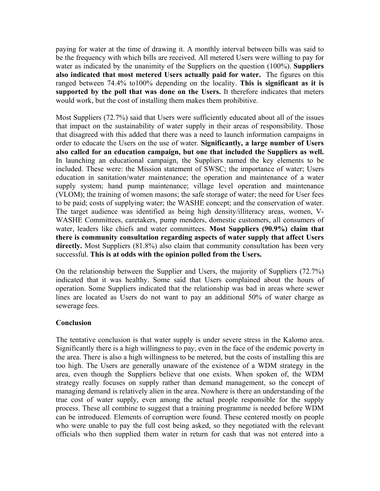paying for water at the time of drawing it. A monthly interval between bills was said to be the frequency with which bills are received. All metered Users were willing to pay for water as indicated by the unanimity of the Suppliers on the question (100%). **Suppliers also indicated that most metered Users actually paid for water.** The figures on this ranged between 74.4% to100% depending on the locality. **This is significant as it is supported by the poll that was done on the Users.** It therefore indicates that meters would work, but the cost of installing them makes them prohibitive.

Most Suppliers (72.7%) said that Users were sufficiently educated about all of the issues that impact on the sustainability of water supply in their areas of responsibility. Those that disagreed with this added that there was a need to launch information campaigns in order to educate the Users on the use of water. **Significantly, a large number of Users also called for an education campaign, but one that included the Suppliers as well.** In launching an educational campaign, the Suppliers named the key elements to be included. These were: the Mission statement of SWSC; the importance of water; Users education in sanitation/water maintenance; the operation and maintenance of a water supply system; hand pump maintenance; village level operation and maintenance (VLOM); the training of women masons; the safe storage of water; the need for User fees to be paid; costs of supplying water; the WASHE concept; and the conservation of water. The target audience was identified as being high density/illiteracy areas, women, V-WASHE Committees, caretakers, pump menders, domestic customers, all consumers of water, leaders like chiefs and water committees. **Most Suppliers (90.9%) claim that there is community consultation regarding aspects of water supply that affect Users**  directly. Most Suppliers (81.8%) also claim that community consultation has been very successful. **This is at odds with the opinion polled from the Users.**

On the relationship between the Supplier and Users, the majority of Suppliers (72.7%) indicated that it was healthy. Some said that Users complained about the hours of operation. Some Suppliers indicated that the relationship was bad in areas where sewer lines are located as Users do not want to pay an additional 50% of water charge as sewerage fees.

#### **Conclusion**

The tentative conclusion is that water supply is under severe stress in the Kalomo area. Significantly there is a high willingness to pay, even in the face of the endemic poverty in the area. There is also a high willingness to be metered, but the costs of installing this are too high. The Users are generally unaware of the existence of a WDM strategy in the area, even though the Suppliers believe that one exists. When spoken of, the WDM strategy really focuses on supply rather than demand management, so the concept of managing demand is relatively alien in the area. Nowhere is there an understanding of the true cost of water supply, even among the actual people responsible for the supply process. These all combine to suggest that a training programme is needed before WDM can be introduced. Elements of corruption were found. These centered mostly on people who were unable to pay the full cost being asked, so they negotiated with the relevant officials who then supplied them water in return for cash that was not entered into a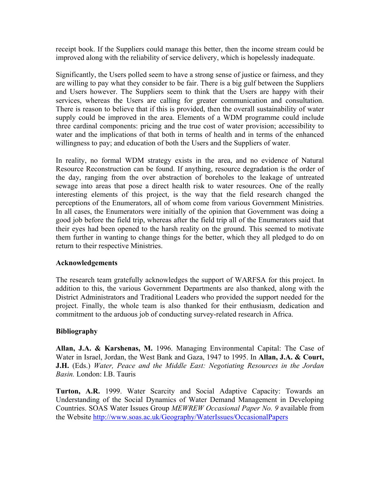receipt book. If the Suppliers could manage this better, then the income stream could be improved along with the reliability of service delivery, which is hopelessly inadequate.

Significantly, the Users polled seem to have a strong sense of justice or fairness, and they are willing to pay what they consider to be fair. There is a big gulf between the Suppliers and Users however. The Suppliers seem to think that the Users are happy with their services, whereas the Users are calling for greater communication and consultation. There is reason to believe that if this is provided, then the overall sustainability of water supply could be improved in the area. Elements of a WDM programme could include three cardinal components: pricing and the true cost of water provision; accessibility to water and the implications of that both in terms of health and in terms of the enhanced willingness to pay; and education of both the Users and the Suppliers of water.

In reality, no formal WDM strategy exists in the area, and no evidence of Natural Resource Reconstruction can be found. If anything, resource degradation is the order of the day, ranging from the over abstraction of boreholes to the leakage of untreated sewage into areas that pose a direct health risk to water resources. One of the really interesting elements of this project, is the way that the field research changed the perceptions of the Enumerators, all of whom come from various Government Ministries. In all cases, the Enumerators were initially of the opinion that Government was doing a good job before the field trip, whereas after the field trip all of the Enumerators said that their eyes had been opened to the harsh reality on the ground. This seemed to motivate them further in wanting to change things for the better, which they all pledged to do on return to their respective Ministries.

#### **Acknowledgements**

The research team gratefully acknowledges the support of WARFSA for this project. In addition to this, the various Government Departments are also thanked, along with the District Administrators and Traditional Leaders who provided the support needed for the project. Finally, the whole team is also thanked for their enthusiasm, dedication and commitment to the arduous job of conducting survey-related research in Africa.

# **Bibliography**

**Allan, J.A. & Karshenas, M.** 1996. Managing Environmental Capital: The Case of Water in Israel, Jordan, the West Bank and Gaza, 1947 to 1995. In **Allan, J.A. & Court, J.H.** (Eds.) *Water, Peace and the Middle East: Negotiating Resources in the Jordan Basin.* London: I.B. Tauris

**Turton, A.R.** 1999. Water Scarcity and Social Adaptive Capacity: Towards an Understanding of the Social Dynamics of Water Demand Management in Developing Countries. SOAS Water Issues Group *MEWREW Occasional Paper No. 9* available from the Website<http://www.soas.ac.uk/Geography/WaterIssues/OccasionalPapers>